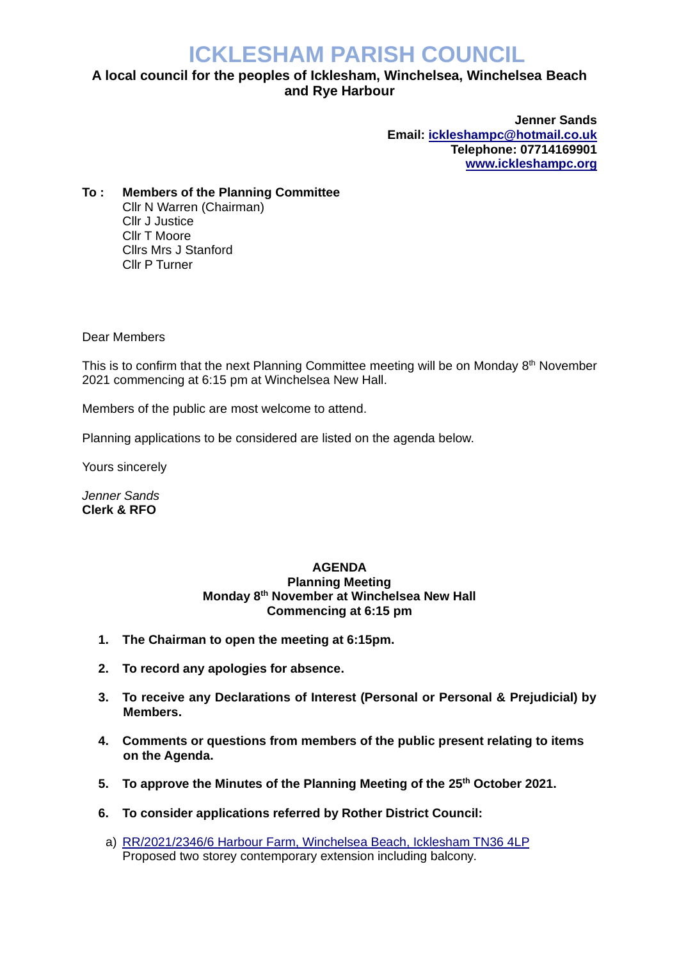# **ICKLESHAM PARISH COUNCIL**

## **A local council for the peoples of Icklesham, Winchelsea, Winchelsea Beach and Rye Harbour**

**Jenner Sands Email: [ickleshampc@hotmail.co.uk](mailto:ickleshampc@hotmail.co.uk) Telephone: 07714169901 [www.ickleshampc.org](http://www.ickleshampc.org/)**

**To : Members of the Planning Committee**  Cllr N Warren (Chairman) Cllr J Justice Cllr T Moore Cllrs Mrs J Stanford Cllr P Turner

Dear Members

This is to confirm that the next Planning Committee meeting will be on Monday 8<sup>th</sup> November 2021 commencing at 6:15 pm at Winchelsea New Hall.

Members of the public are most welcome to attend.

Planning applications to be considered are listed on the agenda below.

Yours sincerely

*Jenner Sands* **Clerk & RFO**

#### **AGENDA Planning Meeting Monday 8 th November at Winchelsea New Hall Commencing at 6:15 pm**

- **1. The Chairman to open the meeting at 6:15pm.**
- **2. To record any apologies for absence.**
- **3. To receive any Declarations of Interest (Personal or Personal & Prejudicial) by Members.**
- **4. Comments or questions from members of the public present relating to items on the Agenda.**
- **5. To approve the Minutes of the Planning Meeting of the 25th October 2021.**
- **6. To consider applications referred by Rother District Council:**
- a) [RR/2021/2346/6 Harbour Farm, Winchelsea Beach, Icklesham TN36 4LP](http://planweb01.rother.gov.uk/OcellaWeb/planningDetails?reference=RR/2021/2346/P) Proposed two storey contemporary extension including balcony.